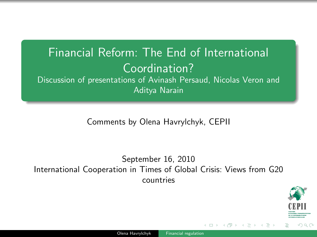#### Financial Reform: The End of International Coordination? Discussion of presentations of Avinash Persaud, Nicolas Veron and Aditya Narain

Comments by Olena Havrylchyk, CEPII

September 16, 2010 International Cooperation in Times of Global Crisis: Views from G20 countries



<span id="page-0-0"></span> $\Omega$ 

 $\leftarrow$   $\Box$   $\rightarrow$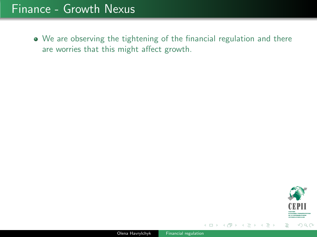#### Finance - Growth Nexus

We are observing the tightening of the financial regulation and there are worries that this might affect growth.



イロト イ押ト イヨト イヨト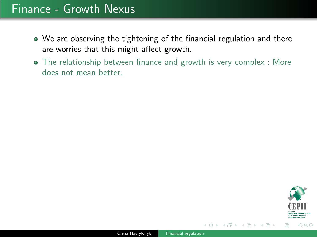#### Finance - Growth Nexus

- We are observing the tightening of the financial regulation and there are worries that this might affect growth.
- The relationship between finance and growth is very complex : More does not mean better.



イロト イ押ト イヨト イヨト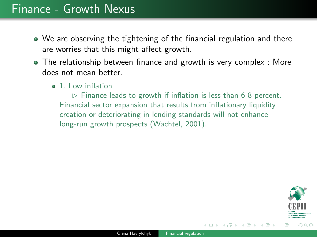- We are observing the tightening of the financial regulation and there are worries that this might affect growth.
- The relationship between finance and growth is very complex : More does not mean better.
	- <sup>1</sup>. Low inflation

 $\triangleright$  Finance leads to growth if inflation is less than 6-8 percent. Financial sector expansion that results from inflationary liquidity creation or deteriorating in lending standards will not enhance long-run growth prospects (Wachtel, 2001).



イロト イ押 トイヨ トイヨト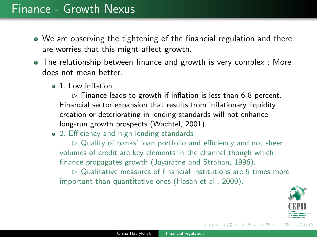- We are observing the tightening of the financial regulation and there are worries that this might affect growth.
- The relationship between finance and growth is very complex : More does not mean better.
	- <sup>a</sup> 1. Low inflation

 $\triangleright$  Finance leads to growth if inflation is less than 6-8 percent. Financial sector expansion that results from inflationary liquidity creation or deteriorating in lending standards will not enhance long-run growth prospects (Wachtel, 2001).

#### • 2. Efficiency and high lending standards

 $\triangleright$  Quality of banks' loan portfolio and efficiency and not sheer volumes of credit are key elements in the channel though which finance propagates growth (Jayaratne and Strahan, 1996).

 $\triangleright$  Qualitative measures of financial institutions are 5 times more important than quantitative ones (Hasan et al., 2009).



 $\Omega$ 

∢ロト (何) (ヨ) (ヨ)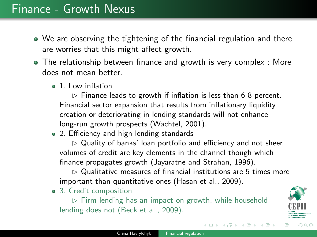- We are observing the tightening of the financial regulation and there are worries that this might affect growth.
- The relationship between finance and growth is very complex : More does not mean better.
	- <sup>a</sup> 1. Low inflation

 $\triangleright$  Finance leads to growth if inflation is less than 6-8 percent. Financial sector expansion that results from inflationary liquidity creation or deteriorating in lending standards will not enhance long-run growth prospects (Wachtel, 2001).

2. Efficiency and high lending standards

 $\triangleright$  Quality of banks' loan portfolio and efficiency and not sheer volumes of credit are key elements in the channel though which finance propagates growth (Jayaratne and Strahan, 1996).

 $\triangleright$  Qualitative measures of financial institutions are 5 times more important than quantitative ones (Hasan et al., 2009).

3. Credit composition

 $\triangleright$  Firm lending has an impact on growth, while household lending does not (Beck et al., 2009).



 $OQ$ 

イロト イ部 トイモト イモト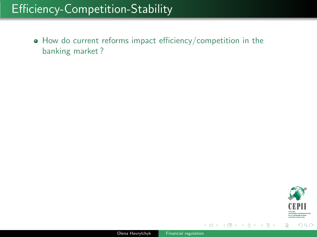## Efficiency-Competition-Stability

How do current reforms impact efficiency/competition in the banking market ?



イロト イ部 トイモト イモト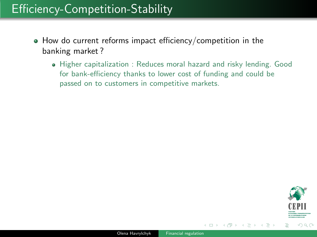## Efficiency-Competition-Stability

- How do current reforms impact efficiency/competition in the banking market ?
	- Higher capitalization : Reduces moral hazard and risky lending. Good for bank-efficiency thanks to lower cost of funding and could be passed on to customers in competitive markets.



∢ロト (何) (ヨ) (ヨ)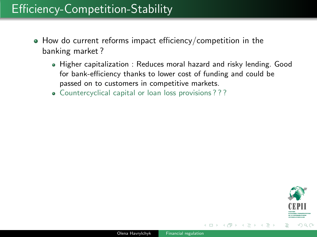## Efficiency-Competition-Stability

- How do current reforms impact efficiency/competition in the banking market ?
	- Higher capitalization : Reduces moral hazard and risky lending. Good for bank-efficiency thanks to lower cost of funding and could be passed on to customers in competitive markets.
	- Countercyclical capital or loan loss provisions ???



 $\Omega$ 

∢ロト (何) (ヨ) (ヨ)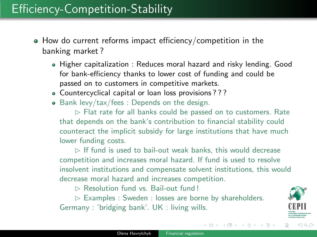- How do current reforms impact efficiency/competition in the banking market ?
	- Higher capitalization: Reduces moral hazard and risky lending. Good for bank-efficiency thanks to lower cost of funding and could be passed on to customers in competitive markets.
	- Countercyclical capital or loan loss provisions ???
	- Bank levy/tax/fees : Depends on the design.

 $\triangleright$  Flat rate for all banks could be passed on to customers. Rate that depends on the bank's contribution to financial stability could counteract the implicit subsidy for large institutions that have much lower funding costs.

 $\triangleright$  If fund is used to bail-out weak banks, this would decrease competition and increases moral hazard. If fund is used to resolve insolvent institutions and compensate solvent institutions, this would decrease moral hazard and increases competition.

 $\triangleright$  Resolution fund vs. Bail-out fund !

 $\triangleright$  Examples : Sweden : losses are borne by shareholders.

Germany : 'bridging bank'. UK : living wills.

 $OQ$ 

イロト イ押 トイヨト イヨト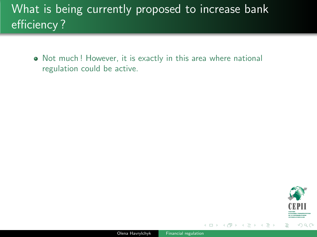Not much ! However, it is exactly in this area where national regulation could be active.



 $\rightarrow$   $\equiv$   $\rightarrow$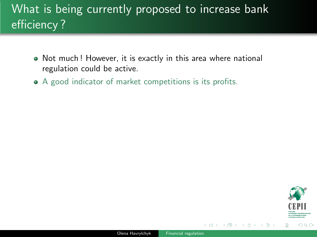- Not much ! However, it is exactly in this area where national regulation could be active.
- A good indicator of market competitions is its profits.



∢ □ ▶ ⊣ n P ▶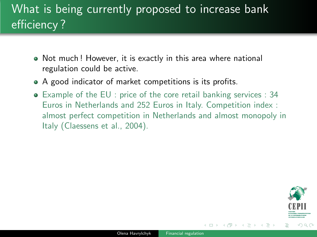- Not much ! However, it is exactly in this area where national regulation could be active.
- A good indicator of market competitions is its profits.
- Example of the EU : price of the core retail banking services : 34 Euros in Netherlands and 252 Euros in Italy. Competition index : almost perfect competition in Netherlands and almost monopoly in Italy (Claessens et al., 2004).



←ロト ←何ト ←ヨト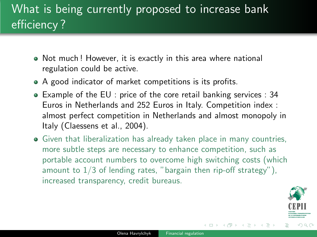- Not much ! However, it is exactly in this area where national regulation could be active.
- A good indicator of market competitions is its profits.
- Example of the EU : price of the core retail banking services : 34 Euros in Netherlands and 252 Euros in Italy. Competition index : almost perfect competition in Netherlands and almost monopoly in Italy (Claessens et al., 2004).
- Given that liberalization has already taken place in many countries, more subtle steps are necessary to enhance competition, such as portable account numbers to overcome high switching costs (which amount to  $1/3$  of lending rates, "bargain then rip-off strategy"), increased transparency, credit bureaus.



 $\Omega$ 

イロト イ押ト イヨト イ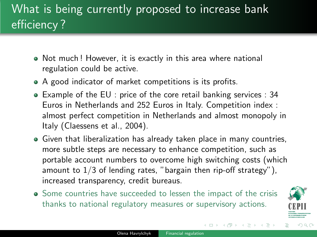- Not much ! However, it is exactly in this area where national regulation could be active.
- A good indicator of market competitions is its profits.
- Example of the EU : price of the core retail banking services : 34 Euros in Netherlands and 252 Euros in Italy. Competition index : almost perfect competition in Netherlands and almost monopoly in Italy (Claessens et al., 2004).
- Given that liberalization has already taken place in many countries, more subtle steps are necessary to enhance competition, such as portable account numbers to overcome high switching costs (which amount to  $1/3$  of lending rates, "bargain then rip-off strategy"), increased transparency, credit bureaus.
- Some countries have succeeded to lessen the impact of the crisis thanks to national regulatory measures or supervisory actions.



∢ロト (何) (ヨ) (ヨ)

 $OQ$